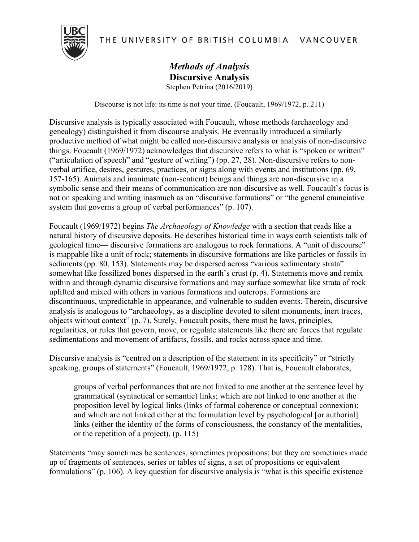THE UNIVERSITY OF BRITISH COLUMBIA | VANCOUVER



## *Methods of Analysis* **Discursive Analysis** Stephen Petrina (2016/2019)

Discourse is not life: its time is not your time. (Foucault, 1969/1972, p. 211)

Discursive analysis is typically associated with Foucault, whose methods (archaeology and genealogy) distinguished it from discourse analysis. He eventually introduced a similarly productive method of what might be called non-discursive analysis or analysis of non-discursive things. Foucault (1969/1972) acknowledges that discursive refers to what is "spoken or written" ("articulation of speech" and "gesture of writing") (pp. 27, 28). Non-discursive refers to nonverbal artifice, desires, gestures, practices, or signs along with events and institutions (pp. 69, 157-165). Animals and inanimate (non-sentient) beings and things are non-discursive in a symbolic sense and their means of communication are non-discursive as well. Foucault's focus is not on speaking and writing inasmuch as on "discursive formations" or "the general enunciative system that governs a group of verbal performances" (p. 107).

Foucault (1969/1972) begins *The Archaeology of Knowledge* with a section that reads like a natural history of discursive deposits. He describes historical time in ways earth scientists talk of geological time— discursive formations are analogous to rock formations. A "unit of discourse" is mappable like a unit of rock; statements in discursive formations are like particles or fossils in sediments (pp. 80, 153). Statements may be dispersed across "various sedimentary strata" somewhat like fossilized bones dispersed in the earth's crust (p. 4). Statements move and remix within and through dynamic discursive formations and may surface somewhat like strata of rock uplifted and mixed with others in various formations and outcrops. Formations are discontinuous, unpredictable in appearance, and vulnerable to sudden events. Therein, discursive analysis is analogous to "archaeology, as a discipline devoted to silent monuments, inert traces, objects without context" (p. 7). Surely, Foucault posits, there must be laws, principles, regularities, or rules that govern, move, or regulate statements like there are forces that regulate sedimentations and movement of artifacts, fossils, and rocks across space and time.

Discursive analysis is "centred on a description of the statement in its specificity" or "strictly speaking, groups of statements" (Foucault, 1969/1972, p. 128). That is, Foucault elaborates,

groups of verbal performances that are not linked to one another at the sentence level by grammatical (syntactical or semantic) links; which are not linked to one another at the proposition level by logical links (links of formal coherence or conceptual connexion); and which are not linked either at the formulation level by psychological [or authorial] links (either the identity of the forms of consciousness, the constancy of the mentalities, or the repetition of a project). (p. 115)

Statements "may sometimes be sentences, sometimes propositions; but they are sometimes made up of fragments of sentences, series or tables of signs, a set of propositions or equivalent formulations" (p. 106). A key question for discursive analysis is "what is this specific existence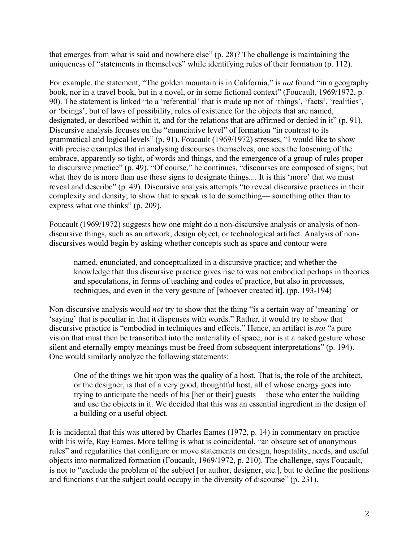that emerges from what is said and nowhere else" (p. 28)? The challenge is maintaining the uniqueness of "statements in themselves" while identifying rules of their formation (p. 112).

For example, the statement, "The golden mountain is in California," is *not* found "in a geography book, nor in a travel book, but in a novel, or in some fictional context" (Foucault, 1969/1972, p. 90). The statement is linked "to a 'referential' that is made up not of 'things', 'facts', 'realities', or 'beings', but of laws of possibility, rules of existence for the objects that are named, designated, or described within it, and for the relations that are affirmed or denied in it" (p. 91). Discursive analysis focuses on the "enunciative level" of formation "in contrast to its grammatical and logical levels" (p. 91). Foucault (1969/1972) stresses, "I would like to show with precise examples that in analysing discourses themselves, one sees the loosening of the embrace, apparently so tight, of words and things, and the emergence of a group of rules proper to discursive practice" (p. 49). "Of course," he continues, "discourses are composed of signs; but what they do is more than use these signs to designate things.... It is this 'more' that we must reveal and describe" (p. 49). Discursive analysis attempts "to reveal discursive practices in their complexity and density; to show that to speak is to do something— something other than to express what one thinks" (p. 209).

Foucault (1969/1972) suggests how one might do a non-discursive analysis or analysis of nondiscursive things, such as an artwork, design object, or technological artifact. Analysis of nondiscursives would begin by asking whether concepts such as space and contour were

named, enunciated, and conceptualized in a discursive practice; and whether the knowledge that this discursive practice gives rise to was not embodied perhaps in theories and speculations, in forms of teaching and codes of practice, but also in processes, techniques, and even in the very gesture of [whoever created it]. (pp. 193-194)

Non-discursive analysis would *not* try to show that the thing "is a certain way of 'meaning' or 'saying' that is peculiar in that it dispenses with words." Rather, it would try to show that discursive practice is "embodied in techniques and effects." Hence, an artifact is *not* "a pure vision that must then be transcribed into the materiality of space; nor is it a naked gesture whose silent and eternally empty meanings must be freed from subsequent interpretations" (p. 194). One would similarly analyze the following statements:

One of the things we hit upon was the quality of a host. That is, the role of the architect, or the designer, is that of a very good, thoughtful host, all of whose energy goes into trying to anticipate the needs of his [her or their] guests— those who enter the building and use the objects in it. We decided that this was an essential ingredient in the design of a building or a useful object.

It is incidental that this was uttered by Charles Eames (1972, p. 14) in commentary on practice with his wife, Ray Eames. More telling is what is coincidental, "an obscure set of anonymous rules" and regularities that configure or move statements on design, hospitality, needs, and useful objects into normalized formation (Foucault, 1969/1972, p. 210). The challenge, says Foucault, is not to "exclude the problem of the subject [or author, designer, etc.], but to define the positions and functions that the subject could occupy in the diversity of discourse" (p. 231).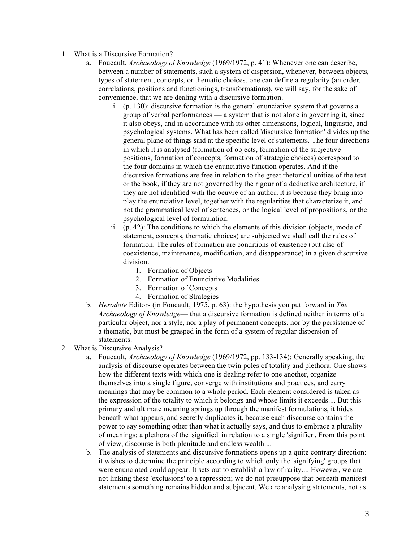- 1. What is a Discursive Formation?
	- a. Foucault, *Archaeology of Knowledge* (1969/1972, p. 41): Whenever one can describe, between a number of statements, such a system of dispersion, whenever, between objects, types of statement, concepts, or thematic choices, one can define a regularity (an order, correlations, positions and functionings, transformations), we will say, for the sake of convenience, that we are dealing with a discursive formation.
		- i. (p. 130): discursive formation is the general enunciative system that governs a group of verbal performances — a system that is not alone in governing it, since it also obeys, and in accordance with its other dimensions, logical, linguistic, and psychological systems. What has been called 'discursive formation' divides up the general plane of things said at the specific level of statements. The four directions in which it is analysed (formation of objects, formation of the subjective positions, formation of concepts, formation of strategic choices) correspond to the four domains in which the enunciative function operates. And if the discursive formations are free in relation to the great rhetorical unities of the text or the book, if they are not governed by the rigour of a deductive architecture, if they are not identified with the oeuvre of an author, it is because they bring into play the enunciative level, together with the regularities that characterize it, and not the grammatical level of sentences, or the logical level of propositions, or the psychological level of formulation.
		- ii. (p. 42): The conditions to which the elements of this division (objects, mode of statement, concepts, thematic choices) are subjected we shall call the rules of formation. The rules of formation are conditions of existence (but also of coexistence, maintenance, modification, and disappearance) in a given discursive division.
			- 1. Formation of Objects
			- 2. Formation of Enunciative Modalities
			- 3. Formation of Concepts
			- 4. Formation of Strategies
	- b. *Herodote* Editors (in Foucault, 1975, p. 63): the hypothesis you put forward in *The Archaeology of Knowledge*— that a discursive formation is defined neither in terms of a particular object, nor a style, nor a play of permanent concepts, nor by the persistence of a thematic, but must be grasped in the form of a system of regular dispersion of statements.
- 2. What is Discursive Analysis?
	- a. Foucault, *Archaeology of Knowledge* (1969/1972, pp. 133-134): Generally speaking, the analysis of discourse operates between the twin poles of totality and plethora. One shows how the different texts with which one is dealing refer to one another, organize themselves into a single figure, converge with institutions and practices, and carry meanings that may be common to a whole period. Each element considered is taken as the expression of the totality to which it belongs and whose limits it exceeds.... But this primary and ultimate meaning springs up through the manifest formulations, it hides beneath what appears, and secretly duplicates it, because each discourse contains the power to say something other than what it actually says, and thus to embrace a plurality of meanings: a plethora of the 'signified' in relation to a single 'signifier'. From this point of view, discourse is both plenitude and endless wealth....
	- b. The analysis of statements and discursive formations opens up a quite contrary direction: it wishes to determine the principle according to which only the 'signifying' groups that were enunciated could appear. It sets out to establish a law of rarity.... However, we are not linking these 'exclusions' to a repression; we do not presuppose that beneath manifest statements something remains hidden and subjacent. We are analysing statements, not as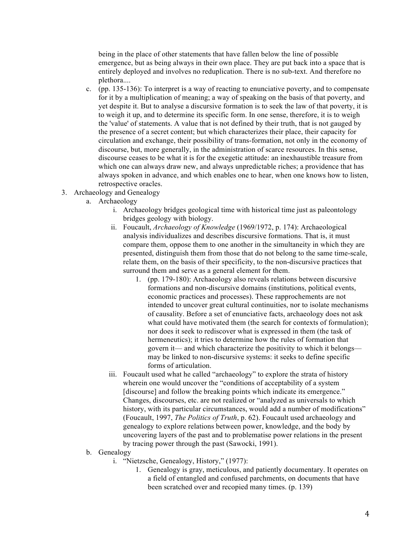being in the place of other statements that have fallen below the line of possible emergence, but as being always in their own place. They are put back into a space that is entirely deployed and involves no reduplication. There is no sub-text. And therefore no plethora....

- c. (pp. 135-136): To interpret is a way of reacting to enunciative poverty, and to compensate for it by a multiplication of meaning; a way of speaking on the basis of that poverty, and yet despite it. But to analyse a discursive formation is to seek the law of that poverty, it is to weigh it up, and to determine its specific form. In one sense, therefore, it is to weigh the 'value' of statements. A value that is not defined by their truth, that is not gauged by the presence of a secret content; but which characterizes their place, their capacity for circulation and exchange, their possibility of trans-formation, not only in the economy of discourse, but, more generally, in the administration of scarce resources. In this sense, discourse ceases to be what it is for the exegetic attitude: an inexhaustible treasure from which one can always draw new, and always unpredictable riches; a providence that has always spoken in advance, and which enables one to hear, when one knows how to listen, retrospective oracles.
- 3. Archaeology and Genealogy
	- a. Archaeology
		- i. Archaeology bridges geological time with historical time just as paleontology bridges geology with biology.
		- ii. Foucault, *Archaeology of Knowledge* (1969/1972, p. 174): Archaeological analysis individualizes and describes discursive formations. That is, it must compare them, oppose them to one another in the simultaneity in which they are presented, distinguish them from those that do not belong to the same time-scale, relate them, on the basis of their specificity, to the non-discursive practices that surround them and serve as a general element for them.
			- 1. (pp. 179-180): Archaeology also reveals relations between discursive formations and non-discursive domains (institutions, political events, economic practices and processes). These rapprochements are not intended to uncover great cultural continuities, nor to isolate mechanisms of causality. Before a set of enunciative facts, archaeology does not ask what could have motivated them (the search for contexts of formulation); nor does it seek to rediscover what is expressed in them (the task of hermeneutics); it tries to determine how the rules of formation that govern it— and which characterize the positivity to which it belongs may be linked to non-discursive systems: it seeks to define specific forms of articulation.
		- iii. Foucault used what he called "archaeology" to explore the strata of history wherein one would uncover the "conditions of acceptability of a system [discourse] and follow the breaking points which indicate its emergence." Changes, discourses, etc. are not realized or "analyzed as universals to which history, with its particular circumstances, would add a number of modifications" (Foucault, 1997, *The Politics of Truth*, p. 62). Foucault used archaeology and genealogy to explore relations between power, knowledge, and the body by uncovering layers of the past and to problematise power relations in the present by tracing power through the past (Sawocki, 1991).
	- b. Genealogy
		- i. "Nietzsche, Genealogy, History," (1977):
			- 1. Genealogy is gray, meticulous, and patiently documentary. It operates on a field of entangled and confused parchments, on documents that have been scratched over and recopied many times. (p. 139)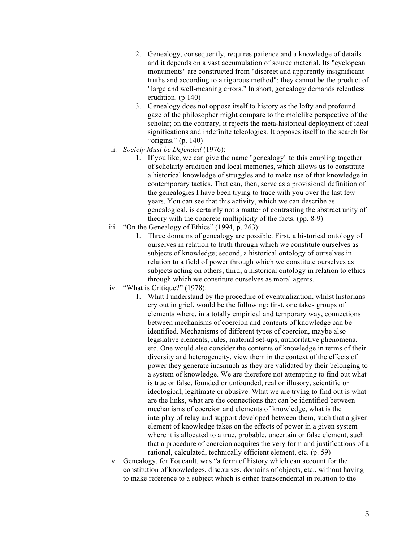- 2. Genealogy, consequently, requires patience and a knowledge of details and it depends on a vast accumulation of source material. Its "cyclopean monuments'' are constructed from "discreet and apparently insignificant truths and according to a rigorous method"; they cannot be the product of "large and well-meaning errors." In short, genealogy demands relentless erudition. (p 140)
- 3. Genealogy does not oppose itself to history as the lofty and profound gaze of the philosopher might compare to the molelike perspective of the scholar; on the contrary, it rejects the meta-historical deployment of ideal significations and indefinite teleologies. It opposes itself to the search for "origins." (p. 140)
- ii. *Society Must be Defended* (1976):
	- 1. If you like, we can give the name "genealogy" to this coupling together of scholarly erudition and local memories, which allows us to constitute a historical knowledge of struggles and to make use of that knowledge in contemporary tactics. That can, then, serve as a provisional definition of the genealogies I have been trying to trace with you over the last few years. You can see that this activity, which we can describe as genealogical, is certainly not a matter of contrasting the abstract unity of theory with the concrete multiplicity of the facts. (pp. 8-9)
- iii. "On the Genealogy of Ethics" (1994, p. 263):
	- 1. Three domains of genealogy are possible. First, a historical ontology of ourselves in relation to truth through which we constitute ourselves as subjects of knowledge; second, a historical ontology of ourselves in relation to a field of power through which we constitute ourselves as subjects acting on others; third, a historical ontology in relation to ethics through which we constitute ourselves as moral agents.
- iv. "What is Critique?" (1978):
	- 1. What I understand by the procedure of eventualization, whilst historians cry out in grief, would be the following: first, one takes groups of elements where, in a totally empirical and temporary way, connections between mechanisms of coercion and contents of knowledge can be identified. Mechanisms of different types of coercion, maybe also legislative elements, rules, material set-ups, authoritative phenomena, etc. One would also consider the contents of knowledge in terms of their diversity and heterogeneity, view them in the context of the effects of power they generate inasmuch as they are validated by their belonging to a system of knowledge. We are therefore not attempting to find out what is true or false, founded or unfounded, real or illusory, scientific or ideological, legitimate or abusive. What we are trying to find out is what are the links, what are the connections that can be identified between mechanisms of coercion and elements of knowledge, what is the interplay of relay and support developed between them, such that a given element of knowledge takes on the effects of power in a given system where it is allocated to a true, probable, uncertain or false element, such that a procedure of coercion acquires the very form and justifications of a rational, calculated, technically efficient element, etc. (p. 59)
- v. Genealogy, for Foucault, was "a form of history which can account for the constitution of knowledges, discourses, domains of objects, etc., without having to make reference to a subject which is either transcendental in relation to the